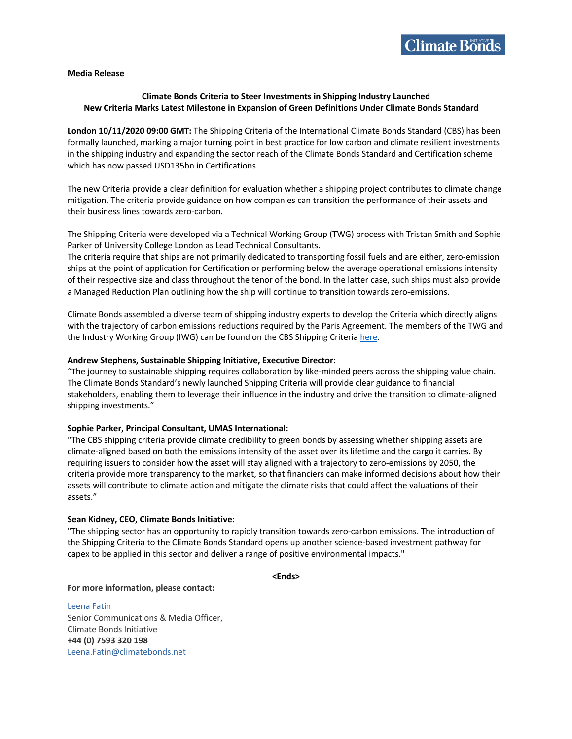## **Media Release**

# **Climate Bonds Criteria to Steer Investments in Shipping Industry Launched New Criteria Marks Latest Milestone in Expansion of Green Definitions Under Climate Bonds Standard**

**London 10/11/2020 09:00 GMT:** The Shipping Criteria of the International Climate Bonds Standard (CBS) has been formally launched, marking a major turning point in best practice for low carbon and climate resilient investments in the shipping industry and expanding the sector reach of the Climate Bonds Standard and Certification scheme which has now passed USD135bn in Certifications.

The new Criteria provide a clear definition for evaluation whether a shipping project contributes to climate change mitigation. The criteria provide guidance on how companies can transition the performance of their assets and their business lines towards zero-carbon.

The Shipping Criteria were developed via a Technical Working Group (TWG) process with Tristan Smith and Sophie Parker of University College London as Lead Technical Consultants.

The criteria require that ships are not primarily dedicated to transporting fossil fuels and are either, zero-emission ships at the point of application for Certification or performing below the average operational emissions intensity of their respective size and class throughout the tenor of the bond. In the latter case, such ships must also provide a Managed Reduction Plan outlining how the ship will continue to transition towards zero-emissions.

Climate Bonds assembled a diverse team of shipping industry experts to develop the Criteria which directly aligns with the trajectory of carbon emissions reductions required by the Paris Agreement. The members of the TWG and the Industry Working Group (IWG) can be found on the CBS Shipping Criteria here.

### **Andrew Stephens, Sustainable Shipping Initiative, Executive Director:**

"The journey to sustainable shipping requires collaboration by like-minded peers across the shipping value chain. The Climate Bonds Standard's newly launched Shipping Criteria will provide clear guidance to financial stakeholders, enabling them to leverage their influence in the industry and drive the transition to climate-aligned shipping investments."

#### **Sophie Parker, Principal Consultant, UMAS International:**

"The CBS shipping criteria provide climate credibility to green bonds by assessing whether shipping assets are climate-aligned based on both the emissions intensity of the asset over its lifetime and the cargo it carries. By requiring issuers to consider how the asset will stay aligned with a trajectory to zero-emissions by 2050, the criteria provide more transparency to the market, so that financiers can make informed decisions about how their assets will contribute to climate action and mitigate the climate risks that could affect the valuations of their assets."

#### **Sean Kidney, CEO, Climate Bonds Initiative:**

"The shipping sector has an opportunity to rapidly transition towards zero-carbon emissions. The introduction of the Shipping Criteria to the Climate Bonds Standard opens up another science-based investment pathway for capex to be applied in this sector and deliver a range of positive environmental impacts."

**<Ends>**

**For more information, please contact:**

Leena Fatin Senior Communications & Media Officer, Climate Bonds Initiative **+44 (0) 7593 320 198** Leena.Fatin@climatebonds.net